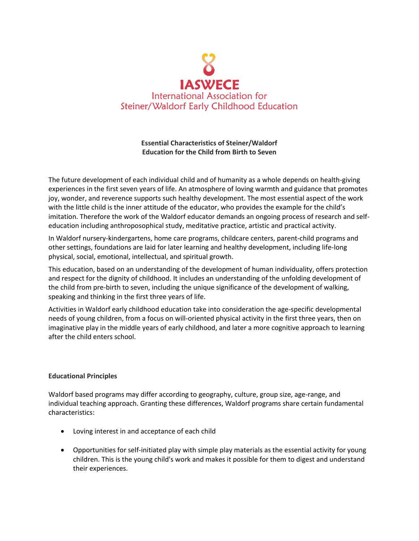

## **Essential Characteristics of Steiner/Waldorf Education for the Child from Birth to Seven**

The future development of each individual child and of humanity as a whole depends on health-giving experiences in the first seven years of life. An atmosphere of loving warmth and guidance that promotes joy, wonder, and reverence supports such healthy development. The most essential aspect of the work with the little child is the inner attitude of the educator, who provides the example for the child's imitation. Therefore the work of the Waldorf educator demands an ongoing process of research and selfeducation including anthroposophical study, meditative practice, artistic and practical activity.

In Waldorf nursery-kindergartens, home care programs, childcare centers, parent-child programs and other settings, foundations are laid for later learning and healthy development, including life-long physical, social, emotional, intellectual, and spiritual growth.

This education, based on an understanding of the development of human individuality, offers protection and respect for the dignity of childhood. It includes an understanding of the unfolding development of the child from pre-birth to seven, including the unique significance of the development of walking, speaking and thinking in the first three years of life.

Activities in Waldorf early childhood education take into consideration the age-specific developmental needs of young children, from a focus on will-oriented physical activity in the first three years, then on imaginative play in the middle years of early childhood, and later a more cognitive approach to learning after the child enters school.

## **Educational Principles**

Waldorf based programs may differ according to geography, culture, group size, age-range, and individual teaching approach. Granting these differences, Waldorf programs share certain fundamental characteristics:

- Loving interest in and acceptance of each child
- Opportunities for self-initiated play with simple play materials as the essential activity for young children. This is the young child's work and makes it possible for them to digest and understand their experiences.